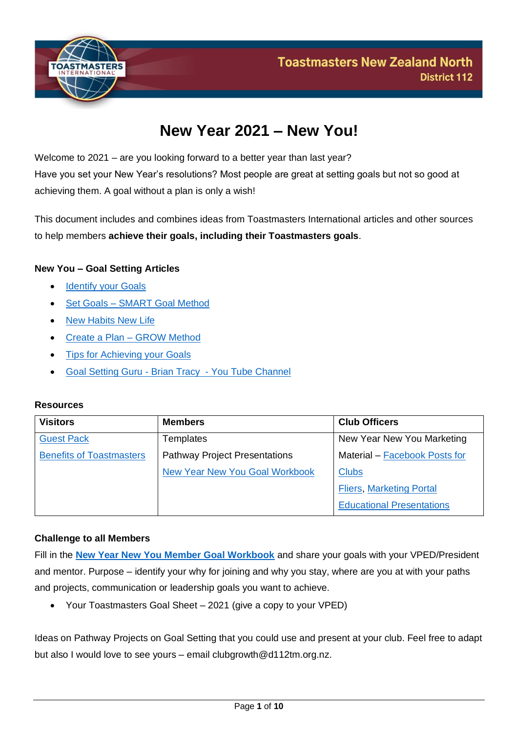

# **New Year 2021 – New You!**

Welcome to 2021 – are you looking forward to a better year than last year? Have you set your New Year's resolutions? Most people are great at setting goals but not so good at achieving them. A goal without a plan is only a wish!

This document includes and combines ideas from Toastmasters International articles and other sources to help members **achieve their goals, including their Toastmasters goals**.

### **New You – Goal Setting Articles**

- **Identify your Goals**
- Set Goals [SMART Goal Method](#page-2-0)
- [New Habits New Life](#page-5-0)
- [Create a Plan –](#page-5-0) GROW Method
- [Tips for Achieving your Goals](#page-8-0)
- [Goal Setting Guru -](https://www.youtube.com/playlist?list=PLvby6pHU7GVbx_0i3eLzAVqBUYKq1CKm6) Brian Tracy You Tube Channel

### **Resources**

| <b>Visitors</b>                 | <b>Members</b>                        | <b>Club Officers</b>             |
|---------------------------------|---------------------------------------|----------------------------------|
| <b>Guest Pack</b>               | <b>Templates</b>                      | New Year New You Marketing       |
| <b>Benefits of Toastmasters</b> | <b>Pathway Project Presentations</b>  | Material – Facebook Posts for    |
|                                 | <b>New Year New You Goal Workbook</b> | <b>Clubs</b>                     |
|                                 |                                       | <b>Fliers, Marketing Portal</b>  |
|                                 |                                       | <b>Educational Presentations</b> |

#### **Challenge to all Members**

Fill in the **[New Year New You Member Goal Workbook](https://d112tm.org.nz/wp-content/uploads/2021/01/New-Year-New-You-Member-Goal-Workbook.pdf)** and share your goals with your VPED/President and mentor. Purpose – identify your why for joining and why you stay, where are you at with your paths and projects, communication or leadership goals you want to achieve.

• Your Toastmasters Goal Sheet – 2021 (give a copy to your VPED)

Ideas on Pathway Projects on Goal Setting that you could use and present at your club. Feel free to adapt but also I would love to see yours – email clubgrowth@d112tm.org.nz.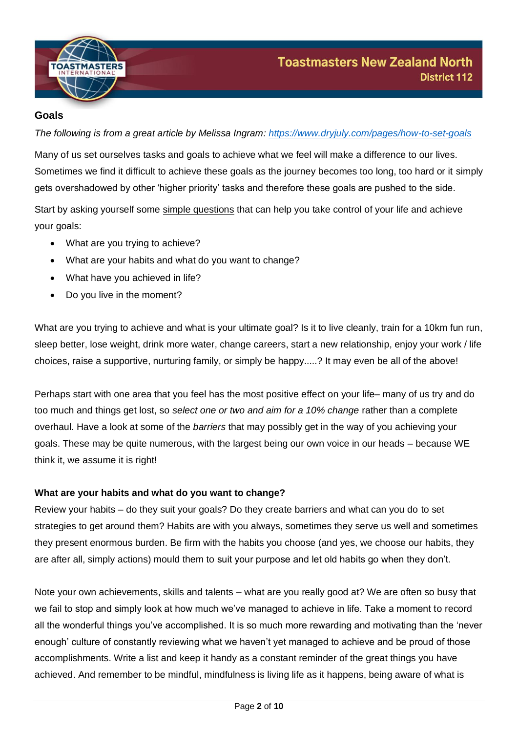

## <span id="page-1-0"></span>**Goals**

*The following is from a great article by Melissa Ingram: <https://www.dryjuly.com/pages/how-to-set-goals>*

Many of us set ourselves tasks and goals to achieve what we feel will make a difference to our lives. Sometimes we find it difficult to achieve these goals as the journey becomes too long, too hard or it simply gets overshadowed by other 'higher priority' tasks and therefore these goals are pushed to the side.

Start by asking yourself some simple questions that can help you take control of your life and achieve your goals:

- What are you trying to achieve?
- What are your habits and what do you want to change?
- What have you achieved in life?
- Do you live in the moment?

What are you trying to achieve and what is your ultimate goal? Is it to live cleanly, train for a 10km fun run, sleep better, lose weight, drink more water, change careers, start a new relationship, enjoy your work / life choices, raise a supportive, nurturing family, or simply be happy.....? It may even be all of the above!

Perhaps start with one area that you feel has the most positive effect on your life– many of us try and do too much and things get lost, so *select one or two and aim for a 10% change* rather than a complete overhaul. Have a look at some of the *barriers* that may possibly get in the way of you achieving your goals. These may be quite numerous, with the largest being our own voice in our heads – because WE think it, we assume it is right!

### **What are your habits and what do you want to change?**

Review your habits – do they suit your goals? Do they create barriers and what can you do to set strategies to get around them? Habits are with you always, sometimes they serve us well and sometimes they present enormous burden. Be firm with the habits you choose (and yes, we choose our habits, they are after all, simply actions) mould them to suit your purpose and let old habits go when they don't.

Note your own achievements, skills and talents – what are you really good at? We are often so busy that we fail to stop and simply look at how much we've managed to achieve in life. Take a moment to record all the wonderful things you've accomplished. It is so much more rewarding and motivating than the 'never enough' culture of constantly reviewing what we haven't yet managed to achieve and be proud of those accomplishments. Write a list and keep it handy as a constant reminder of the great things you have achieved. And remember to be mindful, mindfulness is living life as it happens, being aware of what is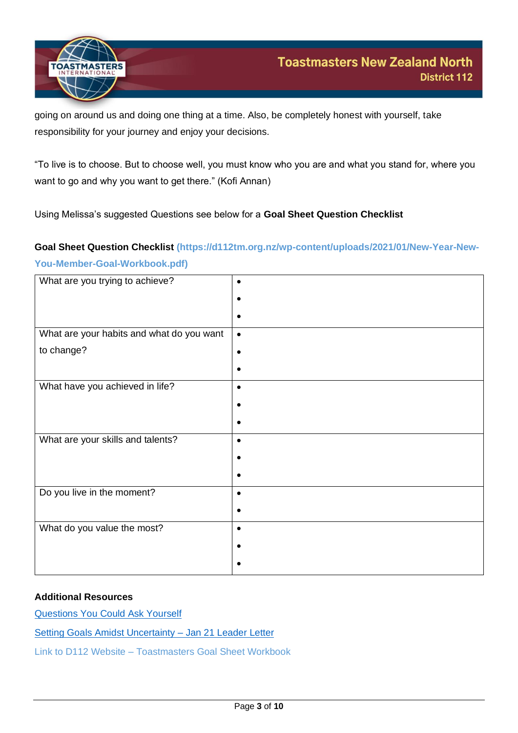

going on around us and doing one thing at a time. Also, be completely honest with yourself, take responsibility for your journey and enjoy your decisions.

"To live is to choose. But to choose well, you must know who you are and what you stand for, where you want to go and why you want to get there." (Kofi Annan)

Using Melissa's suggested Questions see below for a **Goal Sheet Question Checklist**

# **Goal Sheet Question Checklist (https://d112tm.org.nz/wp-content/uploads/2021/01/New-Year-New-You-Member-Goal-Workbook.pdf)**

| What are you trying to achieve?           |           |
|-------------------------------------------|-----------|
|                                           |           |
|                                           |           |
|                                           |           |
|                                           |           |
| What are your habits and what do you want | $\bullet$ |
|                                           |           |
| to change?                                |           |
|                                           |           |
|                                           |           |
|                                           |           |
| What have you achieved in life?           | $\bullet$ |
|                                           |           |
|                                           |           |
|                                           |           |
|                                           |           |
| What are your skills and talents?         |           |
|                                           |           |
|                                           |           |
|                                           |           |
|                                           |           |
|                                           |           |
| Do you live in the moment?                |           |
|                                           |           |
|                                           |           |
|                                           |           |
| What do you value the most?               |           |
|                                           |           |
|                                           |           |
|                                           |           |
|                                           |           |

#### **Additional Resources**

[Questions You Could Ask Yourself](https://www.thebalancecareers.com/create-your-personal-vision-statement-1919208)

[Setting Goals Amidst Uncertainty –](https://www.toastmasters.org/leadership-central/featured-article) Jan 21 Leader Letter

<span id="page-2-0"></span>Link to D112 Website – Toastmasters Goal Sheet Workbook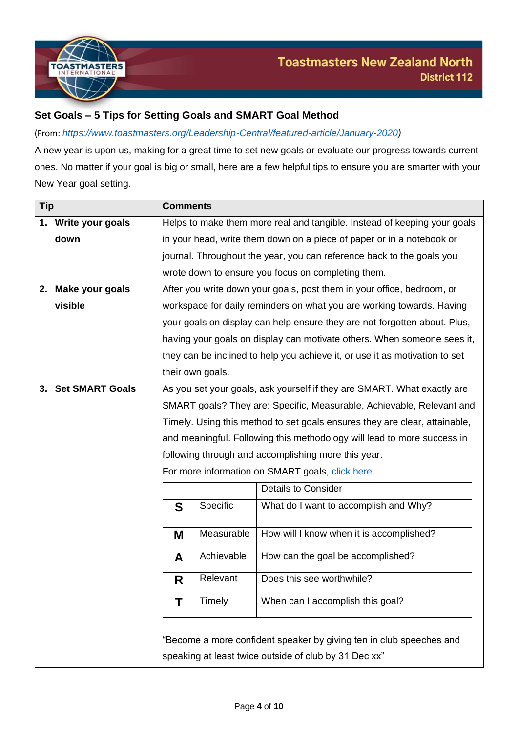

## **Set Goals – 5 Tips for Setting Goals and SMART Goal Method**

(From: *[https://www.toastmasters.org/Leadership-Central/featured-article/January-2020\)](https://www.toastmasters.org/Leadership-Central/featured-article/January-2020)*

A new year is upon us, making for a great time to set new goals or evaluate our progress towards current ones. No matter if your goal is big or small, here are a few helpful tips to ensure you are smarter with your New Year goal setting.

| <b>Tip</b> |                        | <b>Comments</b>                                                                                                              |            |                                                                             |  |  |
|------------|------------------------|------------------------------------------------------------------------------------------------------------------------------|------------|-----------------------------------------------------------------------------|--|--|
|            | 1. Write your goals    | Helps to make them more real and tangible. Instead of keeping your goals                                                     |            |                                                                             |  |  |
|            | down                   | in your head, write them down on a piece of paper or in a notebook or                                                        |            |                                                                             |  |  |
|            |                        | journal. Throughout the year, you can reference back to the goals you                                                        |            |                                                                             |  |  |
|            |                        | wrote down to ensure you focus on completing them.                                                                           |            |                                                                             |  |  |
|            | 2. Make your goals     | After you write down your goals, post them in your office, bedroom, or                                                       |            |                                                                             |  |  |
|            | visible                | workspace for daily reminders on what you are working towards. Having                                                        |            |                                                                             |  |  |
|            |                        | your goals on display can help ensure they are not forgotten about. Plus,                                                    |            |                                                                             |  |  |
|            |                        |                                                                                                                              |            | having your goals on display can motivate others. When someone sees it,     |  |  |
|            |                        |                                                                                                                              |            | they can be inclined to help you achieve it, or use it as motivation to set |  |  |
|            |                        | their own goals.                                                                                                             |            |                                                                             |  |  |
| 3.         | <b>Set SMART Goals</b> | As you set your goals, ask yourself if they are SMART. What exactly are                                                      |            |                                                                             |  |  |
|            |                        | SMART goals? They are: Specific, Measurable, Achievable, Relevant and                                                        |            |                                                                             |  |  |
|            |                        | Timely. Using this method to set goals ensures they are clear, attainable,                                                   |            |                                                                             |  |  |
|            |                        | and meaningful. Following this methodology will lead to more success in                                                      |            |                                                                             |  |  |
|            |                        | following through and accomplishing more this year.                                                                          |            |                                                                             |  |  |
|            |                        | For more information on SMART goals, click here.                                                                             |            |                                                                             |  |  |
|            |                        |                                                                                                                              |            | <b>Details to Consider</b>                                                  |  |  |
|            |                        | Specific<br>What do I want to accomplish and Why?<br>S                                                                       |            |                                                                             |  |  |
|            |                        | M                                                                                                                            | Measurable | How will I know when it is accomplished?                                    |  |  |
|            |                        | A                                                                                                                            | Achievable | How can the goal be accomplished?                                           |  |  |
|            |                        | R                                                                                                                            | Relevant   | Does this see worthwhile?                                                   |  |  |
|            |                        | Timely<br>When can I accomplish this goal?<br>Τ                                                                              |            |                                                                             |  |  |
|            |                        | "Become a more confident speaker by giving ten in club speeches and<br>speaking at least twice outside of club by 31 Dec xx" |            |                                                                             |  |  |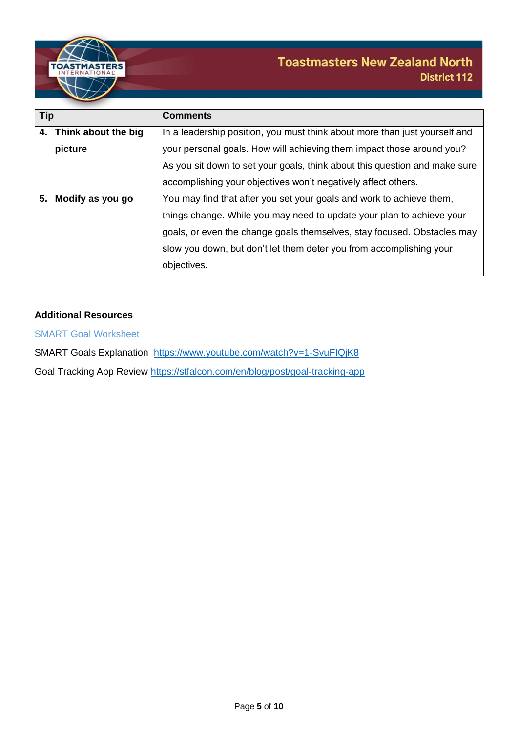

| <b>Tip</b> |                        | <b>Comments</b>                                                            |  |  |  |
|------------|------------------------|----------------------------------------------------------------------------|--|--|--|
|            | 4. Think about the big | In a leadership position, you must think about more than just yourself and |  |  |  |
|            | picture                | your personal goals. How will achieving them impact those around you?      |  |  |  |
|            |                        | As you sit down to set your goals, think about this question and make sure |  |  |  |
|            |                        | accomplishing your objectives won't negatively affect others.              |  |  |  |
| 5.         | Modify as you go       | You may find that after you set your goals and work to achieve them,       |  |  |  |
|            |                        | things change. While you may need to update your plan to achieve your      |  |  |  |
|            |                        | goals, or even the change goals themselves, stay focused. Obstacles may    |  |  |  |
|            |                        | slow you down, but don't let them deter you from accomplishing your        |  |  |  |
|            |                        | objectives.                                                                |  |  |  |

### **Additional Resources**

SMART Goal Worksheet

SMART Goals Explanation <https://www.youtube.com/watch?v=1-SvuFIQjK8> Goal Tracking App Review<https://stfalcon.com/en/blog/post/goal-tracking-app>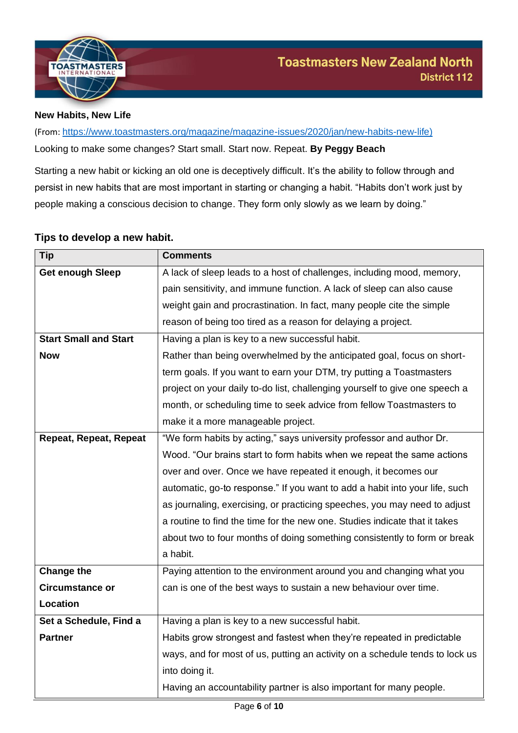

#### <span id="page-5-0"></span>**New Habits, New Life**

(From: [https://www.toastmasters.org/magazine/magazine-issues/2020/jan/new-habits-new-life\)](https://www.toastmasters.org/magazine/magazine-issues/2020/jan/new-habits-new-life) Looking to make some changes? Start small. Start now. Repeat. **By Peggy Beach**

Starting a new habit or kicking an old one is deceptively difficult. It's the ability to follow through and persist in new habits that are most important in starting or changing a habit. "Habits don't work just by people making a conscious decision to change. They form only slowly as we learn by doing."

## **Tips to develop a new habit.**

| Tip                          | <b>Comments</b>                                                              |  |  |  |
|------------------------------|------------------------------------------------------------------------------|--|--|--|
| <b>Get enough Sleep</b>      | A lack of sleep leads to a host of challenges, including mood, memory,       |  |  |  |
|                              | pain sensitivity, and immune function. A lack of sleep can also cause        |  |  |  |
|                              | weight gain and procrastination. In fact, many people cite the simple        |  |  |  |
|                              | reason of being too tired as a reason for delaying a project.                |  |  |  |
| <b>Start Small and Start</b> | Having a plan is key to a new successful habit.                              |  |  |  |
| <b>Now</b>                   | Rather than being overwhelmed by the anticipated goal, focus on short-       |  |  |  |
|                              | term goals. If you want to earn your DTM, try putting a Toastmasters         |  |  |  |
|                              | project on your daily to-do list, challenging yourself to give one speech a  |  |  |  |
|                              | month, or scheduling time to seek advice from fellow Toastmasters to         |  |  |  |
|                              | make it a more manageable project.                                           |  |  |  |
| Repeat, Repeat, Repeat       | "We form habits by acting," says university professor and author Dr.         |  |  |  |
|                              | Wood. "Our brains start to form habits when we repeat the same actions       |  |  |  |
|                              | over and over. Once we have repeated it enough, it becomes our               |  |  |  |
|                              | automatic, go-to response." If you want to add a habit into your life, such  |  |  |  |
|                              | as journaling, exercising, or practicing speeches, you may need to adjust    |  |  |  |
|                              | a routine to find the time for the new one. Studies indicate that it takes   |  |  |  |
|                              | about two to four months of doing something consistently to form or break    |  |  |  |
|                              | a habit.                                                                     |  |  |  |
| <b>Change the</b>            | Paying attention to the environment around you and changing what you         |  |  |  |
| <b>Circumstance or</b>       | can is one of the best ways to sustain a new behaviour over time.            |  |  |  |
| Location                     |                                                                              |  |  |  |
| Set a Schedule, Find a       | Having a plan is key to a new successful habit.                              |  |  |  |
| <b>Partner</b>               | Habits grow strongest and fastest when they're repeated in predictable       |  |  |  |
|                              | ways, and for most of us, putting an activity on a schedule tends to lock us |  |  |  |
|                              | into doing it.                                                               |  |  |  |
|                              | Having an accountability partner is also important for many people.          |  |  |  |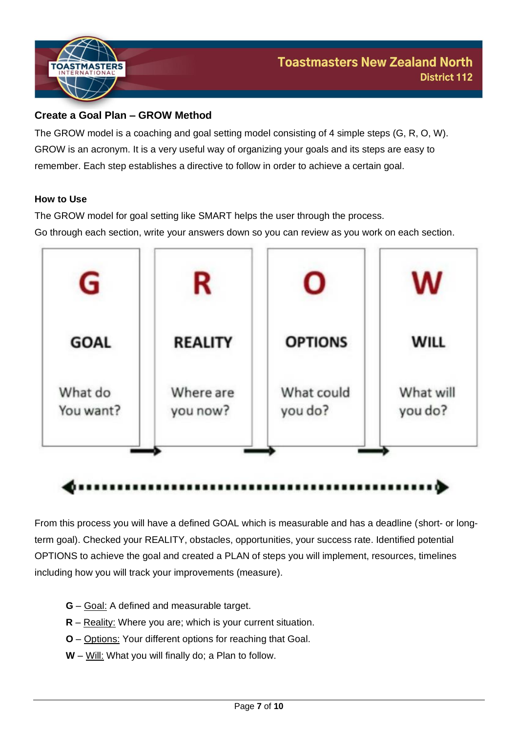

# **Create a Goal Plan – GROW Method**

The GROW model is a coaching and goal setting model consisting of 4 simple steps (G, R, O, W). GROW is an acronym. It is a very useful way of organizing your goals and its steps are easy to remember. Each step establishes a directive to follow in order to achieve a certain goal.

#### **How to Use**

The GROW model for goal setting like SMART helps the user through the process. Go through each section, write your answers down so you can review as you work on each section.



### .........................

From this process you will have a defined GOAL which is measurable and has a deadline (short- or longterm goal). Checked your REALITY, obstacles, opportunities, your success rate. Identified potential OPTIONS to achieve the goal and created a PLAN of steps you will implement, resources, timelines including how you will track your improvements (measure).

- **G** Goal: A defined and measurable target.
- **R** Reality: Where you are; which is your current situation.
- **O** Options: Your different options for reaching that Goal.
- **W** Will: What you will finally do; a Plan to follow.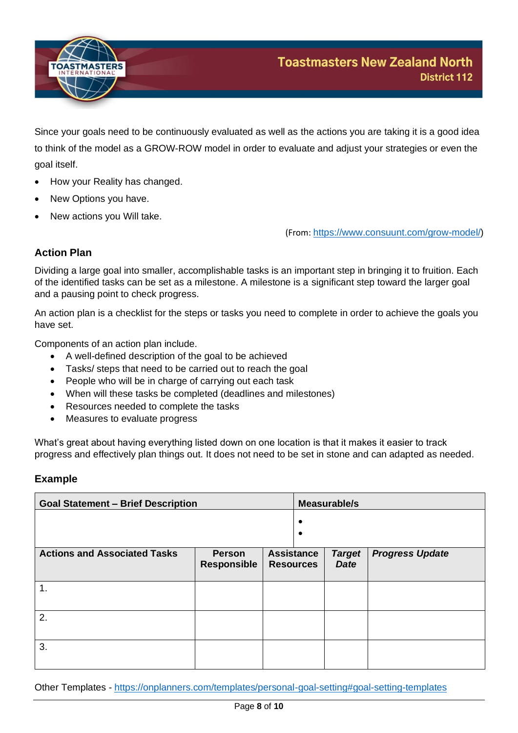

Since your goals need to be continuously evaluated as well as the actions you are taking it is a good idea to think of the model as a GROW-ROW model in order to evaluate and adjust your strategies or even the goal itself.

- How your Reality has changed.
- New Options you have.
- New actions you Will take.

(From: [https://www.consuunt.com/grow-model/\)](https://www.consuunt.com/grow-model/)

## **Action Plan**

Dividing a large goal into smaller, accomplishable tasks is an important step in bringing it to fruition. Each of the identified tasks can be set as a milestone. A milestone is a significant step toward the larger goal and a pausing point to check progress.

An action plan is a checklist for the steps or tasks you need to complete in order to achieve the goals you have set.

Components of an action plan include.

- A well-defined description of the goal to be achieved
- Tasks/ steps that need to be carried out to reach the goal
- People who will be in charge of carrying out each task
- When will these tasks be completed (deadlines and milestones)
- Resources needed to complete the tasks
- Measures to evaluate progress

What's great about having everything listed down on one location is that it makes it easier to track progress and effectively plan things out. It does not need to be set in stone and can adapted as needed.

#### **Example**

| <b>Goal Statement - Brief Description</b> |                                     | Measurable/s                          |  |                              |                        |
|-------------------------------------------|-------------------------------------|---------------------------------------|--|------------------------------|------------------------|
|                                           |                                     |                                       |  |                              |                        |
| <b>Actions and Associated Tasks</b>       | <b>Person</b><br><b>Responsible</b> | <b>Assistance</b><br><b>Resources</b> |  | <b>Target</b><br><b>Date</b> | <b>Progress Update</b> |
| 1.                                        |                                     |                                       |  |                              |                        |
| 2.                                        |                                     |                                       |  |                              |                        |
| 3.                                        |                                     |                                       |  |                              |                        |

Other Templates - <https://onplanners.com/templates/personal-goal-setting#goal-setting-templates>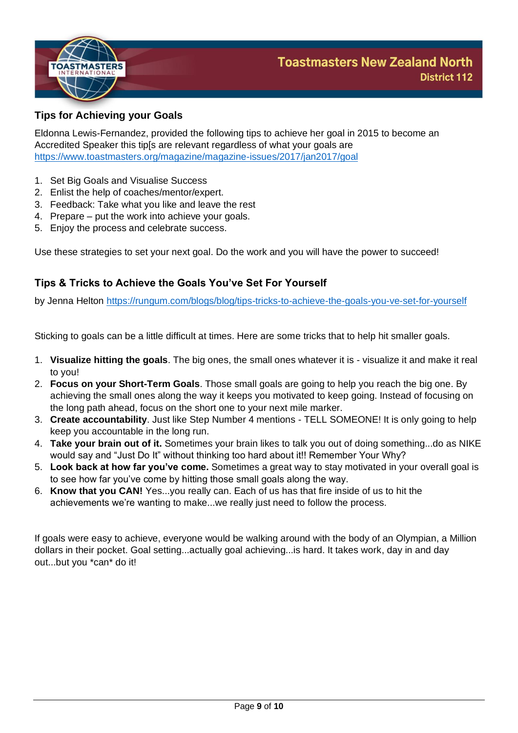

## <span id="page-8-0"></span>**Tips for Achieving your Goals**

Eldonna Lewis-Fernandez, provided the following tips to achieve her goal in 2015 to become an Accredited Speaker this tip[s are relevant regardless of what your goals are <https://www.toastmasters.org/magazine/magazine-issues/2017/jan2017/goal>

- 1. Set Big Goals and Visualise Success
- 2. Enlist the help of coaches/mentor/expert.
- 3. Feedback: Take what you like and leave the rest
- 4. Prepare put the work into achieve your goals.
- 5. Enjoy the process and celebrate success.

Use these strategies to set your next goal. Do the work and you will have the power to succeed!

## **Tips & Tricks to Achieve the Goals You've Set For Yourself**

by Jenna Helton <https://rungum.com/blogs/blog/tips-tricks-to-achieve-the-goals-you-ve-set-for-yourself>

Sticking to goals can be a little difficult at times. Here are some tricks that to help hit smaller goals.

- 1. **Visualize hitting the goals**. The big ones, the small ones whatever it is visualize it and make it real to you!
- 2. **Focus on your Short-Term Goals**. Those small goals are going to help you reach the big one. By achieving the small ones along the way it keeps you motivated to keep going. Instead of focusing on the long path ahead, focus on the short one to your next mile marker.
- 3. **Create accountability**. Just like Step Number 4 mentions TELL SOMEONE! It is only going to help keep you accountable in the long run.
- 4. **Take your brain out of it.** Sometimes your brain likes to talk you out of doing something...do as NIKE would say and "Just Do It" without thinking too hard about it!! Remember Your Why?
- 5. **Look back at how far you've come.** Sometimes a great way to stay motivated in your overall goal is to see how far you've come by hitting those small goals along the way.
- 6. **Know that you CAN!** Yes...you really can. Each of us has that fire inside of us to hit the achievements we're wanting to make...we really just need to follow the process.

If goals were easy to achieve, everyone would be walking around with the body of an Olympian, a Million dollars in their pocket. Goal setting...actually goal achieving...is hard. It takes work, day in and day out...but you \*can\* do it!